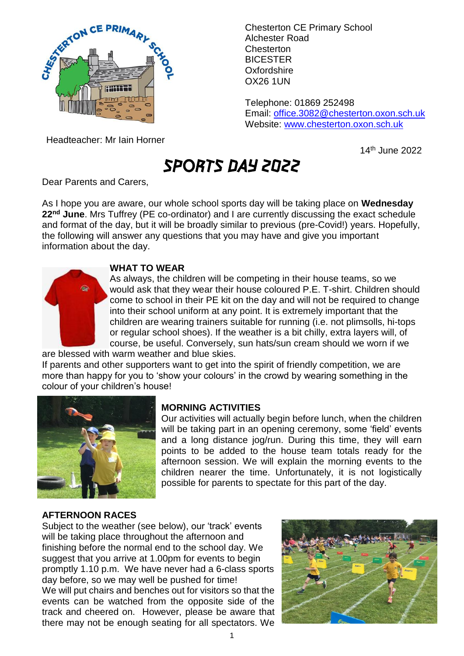

Chesterton CE Primary School Alchester Road Chesterton BICESTER **Oxfordshire** OX26 1UN

Telephone: 01869 252498 Email: [office.3082@chesterton.oxon.sch.uk](mailto:office.3082@chesterton.oxon.sch.uk) Website: [www.chesterton.oxon.sch.uk](http://www.chesterton.oxon.sch.uk/)

Headteacher: Mr Iain Horner

14th June 2022

# SPORTS DAY 2022

Dear Parents and Carers,

As I hope you are aware, our whole school sports day will be taking place on **Wednesday 22nd June**. Mrs Tuffrey (PE co-ordinator) and I are currently discussing the exact schedule and format of the day, but it will be broadly similar to previous (pre-Covid!) years. Hopefully, the following will answer any questions that you may have and give you important information about the day.



## **WHAT TO WEAR**

As always, the children will be competing in their house teams, so we would ask that they wear their house coloured P.E. T-shirt. Children should come to school in their PE kit on the day and will not be required to change into their school uniform at any point. It is extremely important that the children are wearing trainers suitable for running (i.e. not plimsolls, hi-tops or regular school shoes). If the weather is a bit chilly, extra layers will, of course, be useful. Conversely, sun hats/sun cream should we worn if we

are blessed with warm weather and blue skies.

If parents and other supporters want to get into the spirit of friendly competition, we are more than happy for you to 'show your colours' in the crowd by wearing something in the colour of your children's house!



## **MORNING ACTIVITIES**

Our activities will actually begin before lunch, when the children will be taking part in an opening ceremony, some 'field' events and a long distance jog/run. During this time, they will earn points to be added to the house team totals ready for the afternoon session. We will explain the morning events to the children nearer the time. Unfortunately, it is not logistically possible for parents to spectate for this part of the day.

### **AFTERNOON RACES**

Subject to the weather (see below), our 'track' events will be taking place throughout the afternoon and finishing before the normal end to the school day. We suggest that you arrive at 1.00pm for events to begin promptly 1.10 p.m. We have never had a 6-class sports day before, so we may well be pushed for time! We will put chairs and benches out for visitors so that the events can be watched from the opposite side of the track and cheered on. However, please be aware that there may not be enough seating for all spectators. We